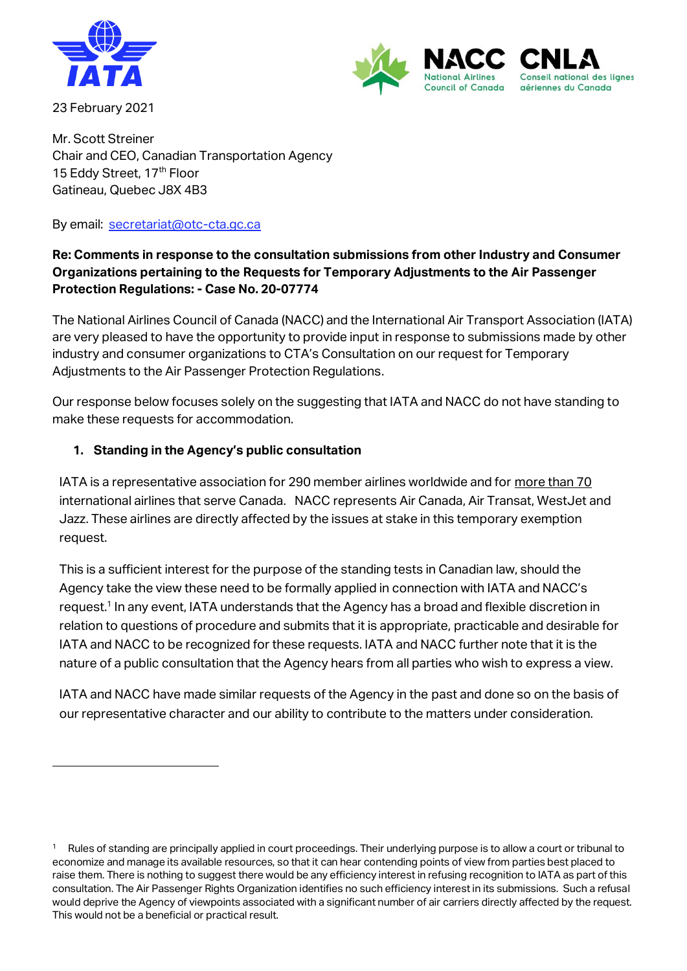

23 February 2021



Mr. Scott Streiner Chair and CEO, Canadian Transportation Agency 15 Eddy Street, 17<sup>th</sup> Floor Gatineau, Quebec J8X 4B3

By email: [secretariat@otc-cta.gc.ca](mailto:secretariat@otc-cta.gc.ca)

# **Re: Comments in response to the consultation submissions from other Industry and Consumer Organizations pertaining to the Requests for Temporary Adjustments to the Air Passenger Protection Regulations: - Case No. 20-07774**

The National Airlines Council of Canada (NACC) and the International Air Transport Association (IATA) are very pleased to have the opportunity to provide input in response to submissions made by other industry and consumer organizations to CTA's Consultation on our request for Temporary Adjustments to the Air Passenger Protection Regulations.

Our response below focuses solely on the suggesting that IATA and NACC do not have standing to make these requests for accommodation.

## **1. Standing in the Agency's public consultation**

IATA is a representative association for 290 member airlines worldwide and for more than 70 international airlines that serve Canada. NACC represents Air Canada, Air Transat, WestJet and Jazz. These airlines are directly affected by the issues at stake in this temporary exemption request.

This is a sufficient interest for the purpose of the standing tests in Canadian law, should the Agency take the view these need to be formally applied in connection with IATA and NACC's request.<sup>1</sup> In any event, IATA understands that the Agency has a broad and flexible discretion in relation to questions of procedure and submits that it is appropriate, practicable and desirable for IATA and NACC to be recognized for these requests. IATA and NACC further note that it is the nature of a public consultation that the Agency hears from all parties who wish to express a view.

IATA and NACC have made similar requests of the Agency in the past and done so on the basis of our representative character and our ability to contribute to the matters under consideration.

<sup>1</sup> Rules of standing are principally applied in court proceedings. Their underlying purpose is to allow a court or tribunal to economize and manage its available resources, so that it can hear contending points of view from parties best placed to raise them. There is nothing to suggest there would be any efficiency interest in refusing recognition to IATA as part of this consultation. The Air Passenger Rights Organization identifies no such efficiency interest in its submissions. Such a refusal would deprive the Agency of viewpoints associated with a significant number of air carriers directly affected by the request. This would not be a beneficial or practical result.